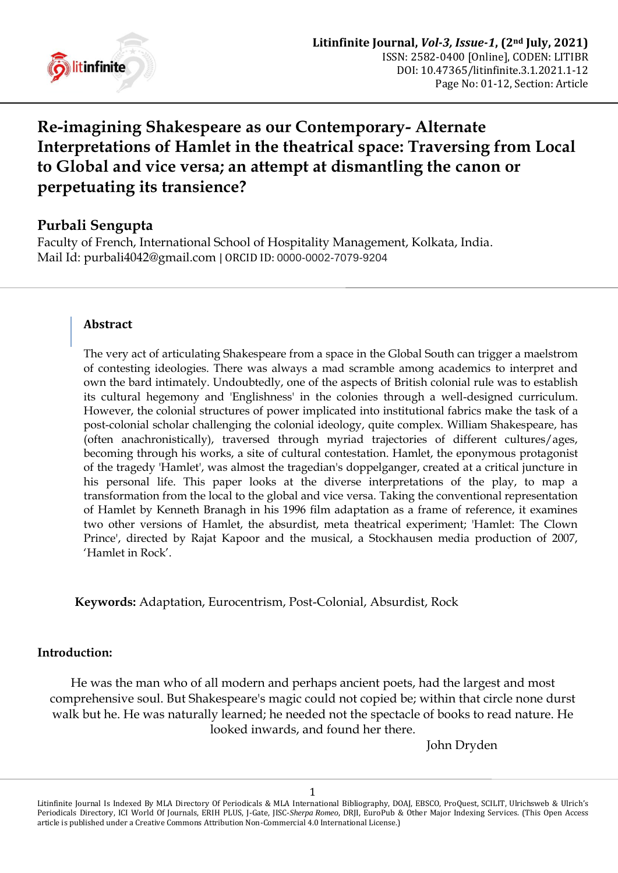

# **Re-imagining Shakespeare as our Contemporary- Alternate Interpretations of Hamlet in the theatrical space: Traversing from Local to Global and vice versa; an attempt at dismantling the canon or perpetuating its transience?**

# **Purbali Sengupta**

Faculty of French, International School of Hospitality Management, Kolkata, India. Mail Id: [purbali4042@gmail.com](mailto:purbali4042@gmail.com) | ORCID ID: 0000-0002-7079-9204

## **Abstract**

The very act of articulating Shakespeare from a space in the Global South can trigger a maelstrom of contesting ideologies. There was always a mad scramble among academics to interpret and own the bard intimately. Undoubtedly, one of the aspects of British colonial rule was to establish its cultural hegemony and 'Englishness' in the colonies through a well-designed curriculum. However, the colonial structures of power implicated into institutional fabrics make the task of a post-colonial scholar challenging the colonial ideology, quite complex. William Shakespeare, has (often anachronistically), traversed through myriad trajectories of different cultures/ages, becoming through his works, a site of cultural contestation. Hamlet, the eponymous protagonist of the tragedy 'Hamlet', was almost the tragedian's doppelganger, created at a critical juncture in his personal life. This paper looks at the diverse interpretations of the play, to map a transformation from the local to the global and vice versa. Taking the conventional representation of Hamlet by Kenneth Branagh in his 1996 film adaptation as a frame of reference, it examines two other versions of Hamlet, the absurdist, meta theatrical experiment; 'Hamlet: The Clown Prince', directed by Rajat Kapoor and the musical, a Stockhausen media production of 2007, "Hamlet in Rock".

**Keywords:** Adaptation, Eurocentrism, Post-Colonial, Absurdist, Rock

#### **Introduction:**

He was the man who of all modern and perhaps ancient poets, had the largest and most comprehensive soul. But Shakespeare's magic could not copied be; within that circle none durst walk but he. He was naturally learned; he needed not the spectacle of books to read nature. He looked inwards, and found her there.

John Dryden

Litinfinite Journal Is Indexed By MLA Directory Of Periodicals & MLA International Bibliography, DOAJ, EBSCO, ProQuest, SCILIT, Ulrichsweb & Ulrich's Periodicals Directory, ICI World Of Journals, ERIH PLUS, J-Gate, JISC-*Sherpa Romeo*, DRJI, EuroPub & Other Major Indexing Services. (This Open Access article is published under a Creative Commons Attribution Non-Commercial 4.0 International License.)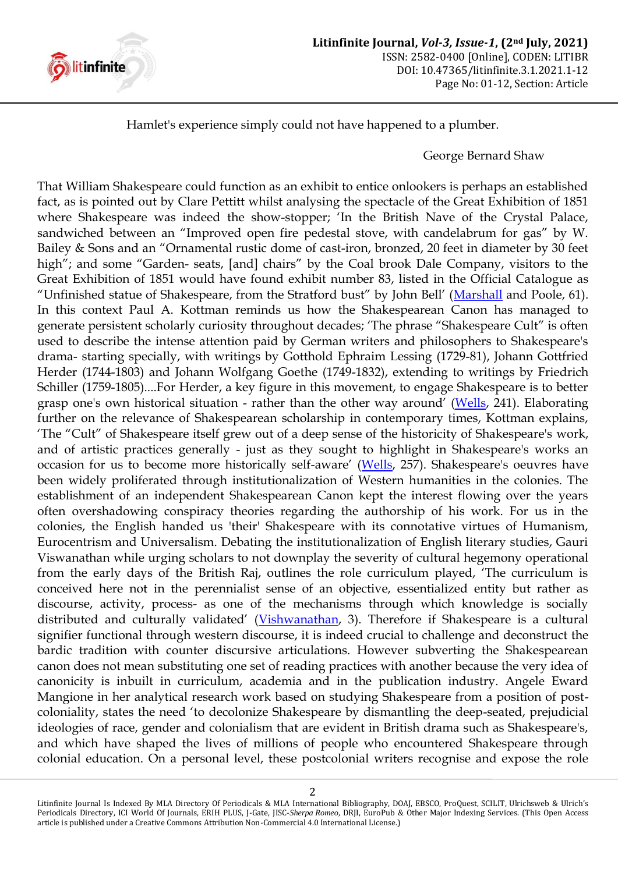

Hamlet's experience simply could not have happened to a plumber.

#### George Bernard Shaw

That William Shakespeare could function as an exhibit to entice onlookers is perhaps an established fact, as is pointed out by Clare Pettitt whilst analysing the spectacle of the Great Exhibition of 1851 where Shakespeare was indeed the show-stopper; "In the British Nave of the Crystal Palace, sandwiched between an "Improved open fire pedestal stove, with candelabrum for gas" by W. Bailey & Sons and an "Ornamental rustic dome of cast-iron, bronzed, 20 feet in diameter by 30 feet high"; and some "Garden- seats, [and] chairs" by the Coal brook Dale Company, visitors to the Great Exhibition of 1851 would have found exhibit number 83, listed in the Official Catalogue as "Unfinished statue of Shakespeare, from the Stratford bust" by John Bell" ([Marshall](#page-10-0) and Poole, 61). In this context Paul A. Kottman reminds us how the Shakespearean Canon has managed to generate persistent scholarly curiosity throughout decades; "The phrase "Shakespeare Cult" is often used to describe the intense attention paid by German writers and philosophers to Shakespeare's drama- starting specially, with writings by Gotthold Ephraim Lessing (1729-81), Johann Gottfried Herder (1744-1803) and Johann Wolfgang Goethe (1749-1832), extending to writings by Friedrich Schiller (1759-1805)....For Herder, a key figure in this movement, to engage Shakespeare is to better grasp one's own historical situation - rather than the other way around" ([Wells,](#page-10-1) 241). Elaborating further on the relevance of Shakespearean scholarship in contemporary times, Kottman explains, "The "Cult" of Shakespeare itself grew out of a deep sense of the historicity of Shakespeare's work, and of artistic practices generally - just as they sought to highlight in Shakespeare's works an occasion for us to become more historically self-aware' ([Wells,](#page-10-1) 257). Shakespeare's oeuvres have been widely proliferated through institutionalization of Western humanities in the colonies. The establishment of an independent Shakespearean Canon kept the interest flowing over the years often overshadowing conspiracy theories regarding the authorship of his work. For us in the colonies, the English handed us 'their' Shakespeare with its connotative virtues of Humanism, Eurocentrism and Universalism. Debating the institutionalization of English literary studies, Gauri Viswanathan while urging scholars to not downplay the severity of cultural hegemony operational from the early days of the British Raj, outlines the role curriculum played, "The curriculum is conceived here not in the perennialist sense of an objective, essentialized entity but rather as discourse, activity, process- as one of the mechanisms through which knowledge is socially distributed and culturally validated' ([Vishwanathan,](#page-10-2) 3). Therefore if Shakespeare is a cultural signifier functional through western discourse, it is indeed crucial to challenge and deconstruct the bardic tradition with counter discursive articulations. However subverting the Shakespearean canon does not mean substituting one set of reading practices with another because the very idea of canonicity is inbuilt in curriculum, academia and in the publication industry. Angele Eward Mangione in her analytical research work based on studying Shakespeare from a position of postcoloniality, states the need "to decolonize Shakespeare by dismantling the deep-seated, prejudicial ideologies of race, gender and colonialism that are evident in British drama such as Shakespeare's, and which have shaped the lives of millions of people who encountered Shakespeare through colonial education. On a personal level, these postcolonial writers recognise and expose the role

Litinfinite Journal Is Indexed By MLA Directory Of Periodicals & MLA International Bibliography, DOAJ, EBSCO, ProQuest, SCILIT, Ulrichsweb & Ulrich's Periodicals Directory, ICI World Of Journals, ERIH PLUS, J-Gate, JISC-*Sherpa Romeo*, DRJI, EuroPub & Other Major Indexing Services. (This Open Access article is published under a Creative Commons Attribution Non-Commercial 4.0 International License.)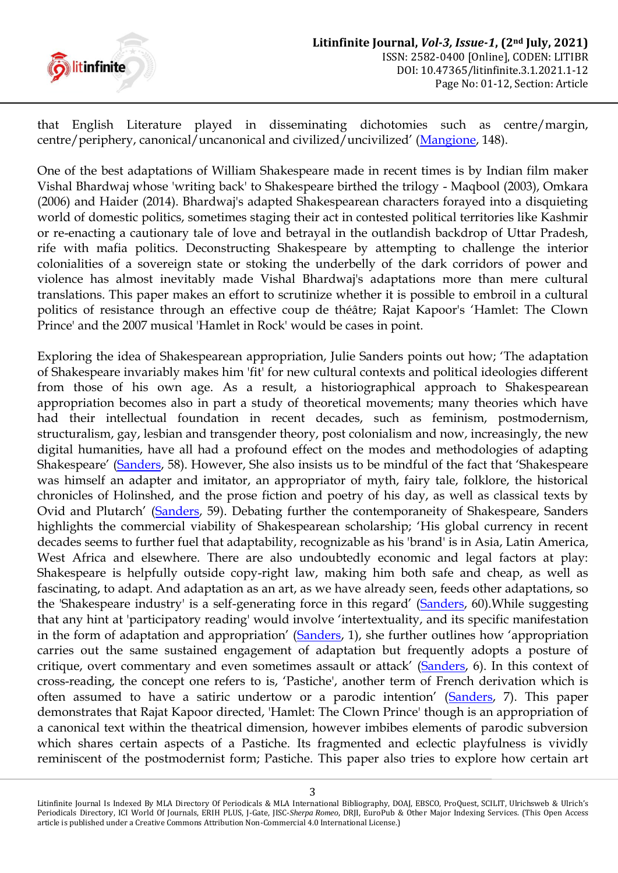

that English Literature played in disseminating dichotomies such as centre/margin, centre/periphery, canonical/uncanonical and civilized/uncivilized" ([Mangione,](#page-9-0) 148).

One of the best adaptations of William Shakespeare made in recent times is by Indian film maker Vishal Bhardwaj whose 'writing back' to Shakespeare birthed the trilogy - Maqbool (2003), Omkara (2006) and Haider (2014). Bhardwaj's adapted Shakespearean characters forayed into a disquieting world of domestic politics, sometimes staging their act in contested political territories like Kashmir or re-enacting a cautionary tale of love and betrayal in the outlandish backdrop of Uttar Pradesh, rife with mafia politics. Deconstructing Shakespeare by attempting to challenge the interior colonialities of a sovereign state or stoking the underbelly of the dark corridors of power and violence has almost inevitably made Vishal Bhardwaj's adaptations more than mere cultural translations. This paper makes an effort to scrutinize whether it is possible to embroil in a cultural politics of resistance through an effective coup de théâtre; Rajat Kapoor's "Hamlet: The Clown Prince' and the 2007 musical 'Hamlet in Rock' would be cases in point.

Exploring the idea of Shakespearean appropriation, Julie Sanders points out how; "The adaptation of Shakespeare invariably makes him 'fit' for new cultural contexts and political ideologies different from those of his own age. As a result, a historiographical approach to Shakespearean appropriation becomes also in part a study of theoretical movements; many theories which have had their intellectual foundation in recent decades, such as feminism, postmodernism, structuralism, gay, lesbian and transgender theory, post colonialism and now, increasingly, the new digital humanities, have all had a profound effect on the modes and methodologies of adapting Shakespeare" ([Sanders](#page-10-3), 58). However, She also insists us to be mindful of the fact that "Shakespeare was himself an adapter and imitator, an appropriator of myth, fairy tale, folklore, the historical chronicles of Holinshed, and the prose fiction and poetry of his day, as well as classical texts by Ovid and Plutarch" ([Sanders,](#page-10-3) 59). Debating further the contemporaneity of Shakespeare, Sanders highlights the commercial viability of Shakespearean scholarship; "His global currency in recent decades seems to further fuel that adaptability, recognizable as his 'brand' is in Asia, Latin America, West Africa and elsewhere. There are also undoubtedly economic and legal factors at play: Shakespeare is helpfully outside copy-right law, making him both safe and cheap, as well as fascinating, to adapt. And adaptation as an art, as we have already seen, feeds other adaptations, so the 'Shakespeare industry' is a self-generating force in this regard' ([Sanders,](#page-10-3) 60). While suggesting that any hint at 'participatory reading' would involve "intertextuality, and its specific manifestation in the form of adaptation and appropriation' ([Sanders](#page-10-3), 1), she further outlines how 'appropriation carries out the same sustained engagement of adaptation but frequently adopts a posture of critique, overt commentary and even sometimes assault or attack" ([Sanders,](#page-10-3) 6). In this context of cross-reading, the concept one refers to is, "Pastiche', another term of French derivation which is often assumed to have a satiric undertow or a parodic intention' ([Sanders,](#page-10-3) 7). This paper demonstrates that Rajat Kapoor directed, 'Hamlet: The Clown Prince' though is an appropriation of a canonical text within the theatrical dimension, however imbibes elements of parodic subversion which shares certain aspects of a Pastiche. Its fragmented and eclectic playfulness is vividly reminiscent of the postmodernist form; Pastiche. This paper also tries to explore how certain art

Litinfinite Journal Is Indexed By MLA Directory Of Periodicals & MLA International Bibliography, DOAJ, EBSCO, ProQuest, SCILIT, Ulrichsweb & Ulrich's Periodicals Directory, ICI World Of Journals, ERIH PLUS, J-Gate, JISC-*Sherpa Romeo*, DRJI, EuroPub & Other Major Indexing Services. (This Open Access article is published under a Creative Commons Attribution Non-Commercial 4.0 International License.)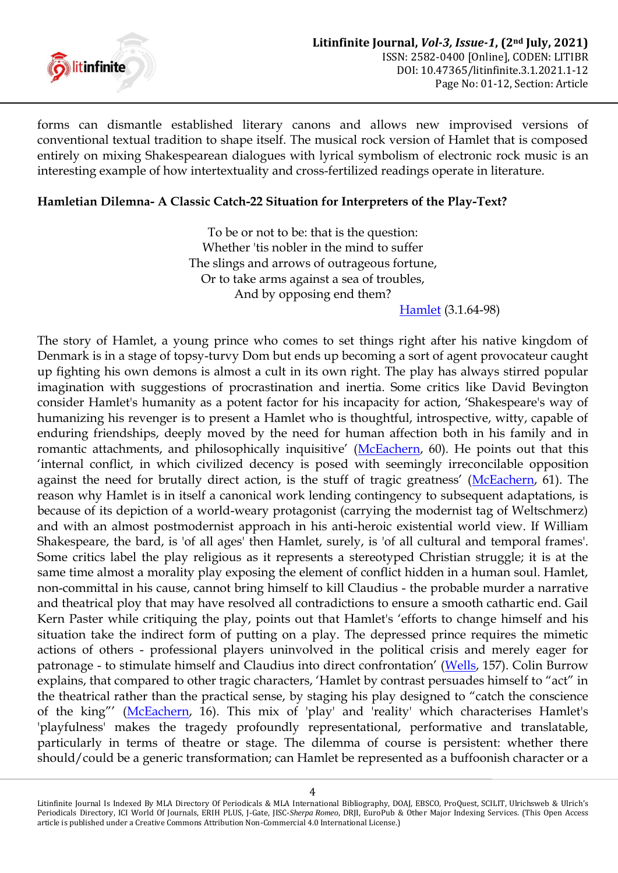

forms can dismantle established literary canons and allows new improvised versions of conventional textual tradition to shape itself. The musical rock version of Hamlet that is composed entirely on mixing Shakespearean dialogues with lyrical symbolism of electronic rock music is an interesting example of how intertextuality and cross-fertilized readings operate in literature.

#### **Hamletian Dilemna- A Classic Catch-22 Situation for Interpreters of the Play-Text?**

To be or not to be: that is the question: Whether 'tis nobler in the mind to suffer The slings and arrows of outrageous fortune, Or to take arms against a sea of troubles, And by opposing end them?

[Hamlet](#page-10-4) (3.1.64-98)

The story of Hamlet, a young prince who comes to set things right after his native kingdom of Denmark is in a stage of topsy-turvy Dom but ends up becoming a sort of agent provocateur caught up fighting his own demons is almost a cult in its own right. The play has always stirred popular imagination with suggestions of procrastination and inertia. Some critics like David Bevington consider Hamlet's humanity as a potent factor for his incapacity for action, "Shakespeare's way of humanizing his revenger is to present a Hamlet who is thoughtful, introspective, witty, capable of enduring friendships, deeply moved by the need for human affection both in his family and in romantic attachments, and philosophically inquisitive' ([McEachern,](#page-10-5) 60). He points out that this "internal conflict, in which civilized decency is posed with seemingly irreconcilable opposition against the need for brutally direct action, is the stuff of tragic greatness' ([McEachern,](#page-10-5) 61). The reason why Hamlet is in itself a canonical work lending contingency to subsequent adaptations, is because of its depiction of a world-weary protagonist (carrying the modernist tag of Weltschmerz) and with an almost postmodernist approach in his anti-heroic existential world view. If William Shakespeare, the bard, is 'of all ages' then Hamlet, surely, is 'of all cultural and temporal frames'. Some critics label the play religious as it represents a stereotyped Christian struggle; it is at the same time almost a morality play exposing the element of conflict hidden in a human soul. Hamlet, non-committal in his cause, cannot bring himself to kill Claudius - the probable murder a narrative and theatrical ploy that may have resolved all contradictions to ensure a smooth cathartic end. Gail Kern Paster while critiquing the play, points out that Hamlet's "efforts to change himself and his situation take the indirect form of putting on a play. The depressed prince requires the mimetic actions of others - professional players uninvolved in the political crisis and merely eager for patronage - to stimulate himself and Claudius into direct confrontation" ([Wells,](#page-10-0) 157). Colin Burrow explains, that compared to other tragic characters, "Hamlet by contrast persuades himself to "act" in the theatrical rather than the practical sense, by staging his play designed to "catch the conscience of the king"" ([McEachern,](#page-10-5) 16). This mix of 'play' and 'reality' which characterises Hamlet's 'playfulness' makes the tragedy profoundly representational, performative and translatable, particularly in terms of theatre or stage. The dilemma of course is persistent: whether there should/could be a generic transformation; can Hamlet be represented as a buffoonish character or a

Litinfinite Journal Is Indexed By MLA Directory Of Periodicals & MLA International Bibliography, DOAJ, EBSCO, ProQuest, SCILIT, Ulrichsweb & Ulrich's Periodicals Directory, ICI World Of Journals, ERIH PLUS, J-Gate, JISC-*Sherpa Romeo*, DRJI, EuroPub & Other Major Indexing Services. (This Open Access article is published under a Creative Commons Attribution Non-Commercial 4.0 International License.)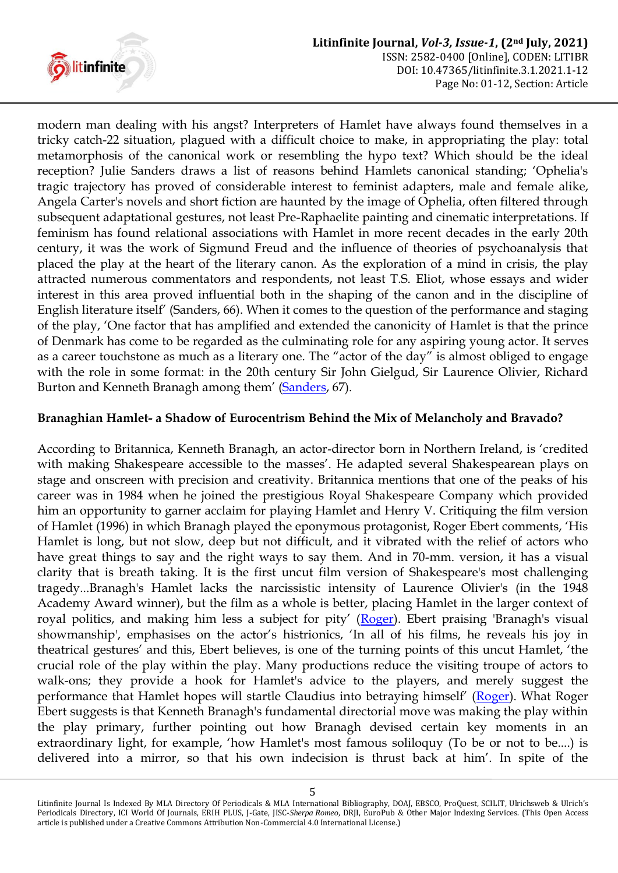

modern man dealing with his angst? Interpreters of Hamlet have always found themselves in a tricky catch-22 situation, plagued with a difficult choice to make, in appropriating the play: total metamorphosis of the canonical work or resembling the hypo text? Which should be the ideal reception? Julie Sanders draws a list of reasons behind Hamlets canonical standing; "Ophelia's tragic trajectory has proved of considerable interest to feminist adapters, male and female alike, Angela Carter's novels and short fiction are haunted by the image of Ophelia, often filtered through subsequent adaptational gestures, not least Pre-Raphaelite painting and cinematic interpretations. If feminism has found relational associations with Hamlet in more recent decades in the early 20th century, it was the work of Sigmund Freud and the influence of theories of psychoanalysis that placed the play at the heart of the literary canon. As the exploration of a mind in crisis, the play attracted numerous commentators and respondents, not least T.S. Eliot, whose essays and wider interest in this area proved influential both in the shaping of the canon and in the discipline of English literature itself" (Sanders, 66). When it comes to the question of the performance and staging of the play, "One factor that has amplified and extended the canonicity of Hamlet is that the prince of Denmark has come to be regarded as the culminating role for any aspiring young actor. It serves as a career touchstone as much as a literary one. The "actor of the day" is almost obliged to engage with the role in some format: in the 20th century Sir John Gielgud, Sir Laurence Olivier, Richard Burton and Kenneth Branagh among them' ([Sanders,](#page-10-3) 67).

#### **Branaghian Hamlet- a Shadow of Eurocentrism Behind the Mix of Melancholy and Bravado?**

According to Britannica, Kenneth Branagh, an actor-director born in Northern Ireland, is "credited with making Shakespeare accessible to the masses'. He adapted several Shakespearean plays on stage and onscreen with precision and creativity. Britannica mentions that one of the peaks of his career was in 1984 when he joined the prestigious Royal Shakespeare Company which provided him an opportunity to garner acclaim for playing Hamlet and Henry V. Critiquing the film version of Hamlet (1996) in which Branagh played the eponymous protagonist, Roger Ebert comments, "His Hamlet is long, but not slow, deep but not difficult, and it vibrated with the relief of actors who have great things to say and the right ways to say them. And in 70-mm. version, it has a visual clarity that is breath taking. It is the first uncut film version of Shakespeare's most challenging tragedy...Branagh's Hamlet lacks the narcissistic intensity of Laurence Olivier's (in the 1948 Academy Award winner), but the film as a whole is better, placing Hamlet in the larger context of royal politics, and making him less a subject for pity' ([Roger\)](#page-9-1). Ebert praising 'Branagh's visual showmanship', emphasises on the actor's histrionics, 'In all of his films, he reveals his joy in theatrical gestures" and this, Ebert believes, is one of the turning points of this uncut Hamlet, "the crucial role of the play within the play. Many productions reduce the visiting troupe of actors to walk-ons; they provide a hook for Hamlet's advice to the players, and merely suggest the performance that Hamlet hopes will startle Claudius into betraying himself' ([Roger\)](#page-9-1). What Roger Ebert suggests is that Kenneth Branagh's fundamental directorial move was making the play within the play primary, further pointing out how Branagh devised certain key moments in an extraordinary light, for example, "how Hamlet's most famous soliloquy (To be or not to be....) is delivered into a mirror, so that his own indecision is thrust back at him". In spite of the

Litinfinite Journal Is Indexed By MLA Directory Of Periodicals & MLA International Bibliography, DOAJ, EBSCO, ProQuest, SCILIT, Ulrichsweb & Ulrich's Periodicals Directory, ICI World Of Journals, ERIH PLUS, J-Gate, JISC-*Sherpa Romeo*, DRJI, EuroPub & Other Major Indexing Services. (This Open Access article is published under a Creative Commons Attribution Non-Commercial 4.0 International License.)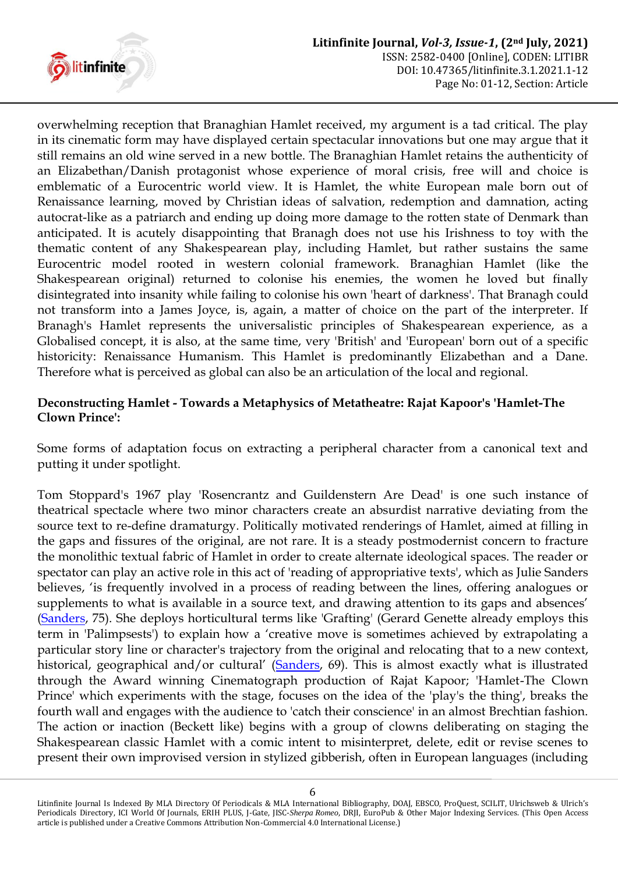

overwhelming reception that Branaghian Hamlet received, my argument is a tad critical. The play in its cinematic form may have displayed certain spectacular innovations but one may argue that it still remains an old wine served in a new bottle. The Branaghian Hamlet retains the authenticity of an Elizabethan/Danish protagonist whose experience of moral crisis, free will and choice is emblematic of a Eurocentric world view. It is Hamlet, the white European male born out of Renaissance learning, moved by Christian ideas of salvation, redemption and damnation, acting autocrat-like as a patriarch and ending up doing more damage to the rotten state of Denmark than anticipated. It is acutely disappointing that Branagh does not use his Irishness to toy with the thematic content of any Shakespearean play, including Hamlet, but rather sustains the same Eurocentric model rooted in western colonial framework. Branaghian Hamlet (like the Shakespearean original) returned to colonise his enemies, the women he loved but finally disintegrated into insanity while failing to colonise his own 'heart of darkness'. That Branagh could not transform into a James Joyce, is, again, a matter of choice on the part of the interpreter. If Branagh's Hamlet represents the universalistic principles of Shakespearean experience, as a Globalised concept, it is also, at the same time, very 'British' and 'European' born out of a specific historicity: Renaissance Humanism. This Hamlet is predominantly Elizabethan and a Dane. Therefore what is perceived as global can also be an articulation of the local and regional.

# **Deconstructing Hamlet - Towards a Metaphysics of Metatheatre: Rajat Kapoor's 'Hamlet-The Clown Prince':**

Some forms of adaptation focus on extracting a peripheral character from a canonical text and putting it under spotlight.

Tom Stoppard's 1967 play 'Rosencrantz and Guildenstern Are Dead' is one such instance of theatrical spectacle where two minor characters create an absurdist narrative deviating from the source text to re-define dramaturgy. Politically motivated renderings of Hamlet, aimed at filling in the gaps and fissures of the original, are not rare. It is a steady postmodernist concern to fracture the monolithic textual fabric of Hamlet in order to create alternate ideological spaces. The reader or spectator can play an active role in this act of 'reading of appropriative texts', which as Julie Sanders believes, 'is frequently involved in a process of reading between the lines, offering analogues or supplements to what is available in a source text, and drawing attention to its gaps and absences' [\(Sanders,](#page-10-3) 75). She deploys horticultural terms like 'Grafting' (Gerard Genette already employs this term in 'Palimpsests') to explain how a "creative move is sometimes achieved by extrapolating a particular story line or character's trajectory from the original and relocating that to a new context, historical, geographical and/or cultural' ([Sanders,](#page-10-3) 69). This is almost exactly what is illustrated through the Award winning Cinematograph production of Rajat Kapoor; 'Hamlet-The Clown Prince' which experiments with the stage, focuses on the idea of the 'play's the thing', breaks the fourth wall and engages with the audience to 'catch their conscience' in an almost Brechtian fashion. The action or inaction (Beckett like) begins with a group of clowns deliberating on staging the Shakespearean classic Hamlet with a comic intent to misinterpret, delete, edit or revise scenes to present their own improvised version in stylized gibberish, often in European languages (including

Litinfinite Journal Is Indexed By MLA Directory Of Periodicals & MLA International Bibliography, DOAJ, EBSCO, ProQuest, SCILIT, Ulrichsweb & Ulrich's Periodicals Directory, ICI World Of Journals, ERIH PLUS, J-Gate, JISC-*Sherpa Romeo*, DRJI, EuroPub & Other Major Indexing Services. (This Open Access article is published under a Creative Commons Attribution Non-Commercial 4.0 International License.)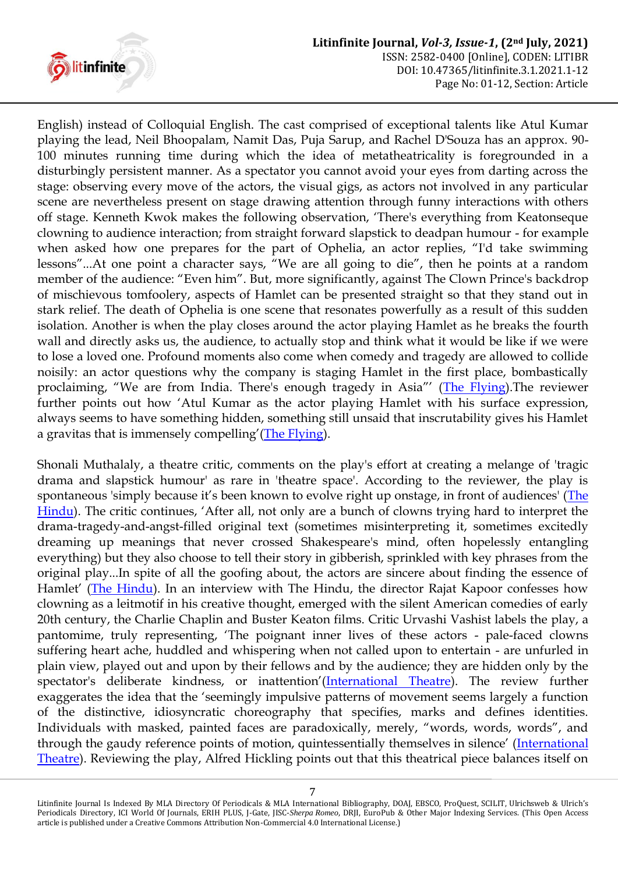

English) instead of Colloquial English. The cast comprised of exceptional talents like Atul Kumar playing the lead, Neil Bhoopalam, Namit Das, Puja Sarup, and Rachel D'Souza has an approx. 90- 100 minutes running time during which the idea of metatheatricality is foregrounded in a disturbingly persistent manner. As a spectator you cannot avoid your eyes from darting across the stage: observing every move of the actors, the visual gigs, as actors not involved in any particular scene are nevertheless present on stage drawing attention through funny interactions with others off stage. Kenneth Kwok makes the following observation, "There's everything from Keatonseque clowning to audience interaction; from straight forward slapstick to deadpan humour - for example when asked how one prepares for the part of Ophelia, an actor replies, "I'd take swimming lessons"...At one point a character says, "We are all going to die", then he points at a random member of the audience: "Even him". But, more significantly, against The Clown Prince's backdrop of mischievous tomfoolery, aspects of Hamlet can be presented straight so that they stand out in stark relief. The death of Ophelia is one scene that resonates powerfully as a result of this sudden isolation. Another is when the play closes around the actor playing Hamlet as he breaks the fourth wall and directly asks us, the audience, to actually stop and think what it would be like if we were to lose a loved one. Profound moments also come when comedy and tragedy are allowed to collide noisily: an actor questions why the company is staging Hamlet in the first place, bombastically proclaiming, "We are from India. There's enough tragedy in Asia"' ([The Flying\)](#page-10-6). The reviewer further points out how "Atul Kumar as the actor playing Hamlet with his surface expression, always seems to have something hidden, something still unsaid that inscrutability gives his Hamlet a gravitas that is immensely compelling' ([The Flying\)](#page-10-6).

Shonali Muthalaly, a theatre critic, comments on the play's effort at creating a melange of 'tragic drama and slapstick humour' as rare in 'theatre space'. According to the reviewer, the play is spontaneous 'simply because it's been known to evolve right up onstage, in front of audiences' (The [Hindu\)](#page-10-7). The critic continues, "After all, not only are a bunch of clowns trying hard to interpret the drama-tragedy-and-angst-filled original text (sometimes misinterpreting it, sometimes excitedly dreaming up meanings that never crossed Shakespeare's mind, often hopelessly entangling everything) but they also choose to tell their story in gibberish, sprinkled with key phrases from the original play...In spite of all the goofing about, the actors are sincere about finding the essence of Hamlet' ([The Hindu\)](#page-10-7). In an interview with The Hindu, the director Rajat Kapoor confesses how clowning as a leitmotif in his creative thought, emerged with the silent American comedies of early 20th century, the Charlie Chaplin and Buster Keaton films. Critic Urvashi Vashist labels the play, a pantomime, truly representing, "The poignant inner lives of these actors - pale-faced clowns suffering heart ache, huddled and whispering when not called upon to entertain - are unfurled in plain view, played out and upon by their fellows and by the audience; they are hidden only by the spectator's deliberate kindness, or inattention'([International Theatre\)](#page-10-6). The review further exaggerates the idea that the "seemingly impulsive patterns of movement seems largely a function of the distinctive, idiosyncratic choreography that specifies, marks and defines identities. Individuals with masked, painted faces are paradoxically, merely, "words, words, words", and through the gaudy reference points of motion, quintessentially themselves in silence" ([International](#page-10-6)  [Theatre\)](#page-10-6). Reviewing the play, Alfred Hickling points out that this theatrical piece balances itself on

Litinfinite Journal Is Indexed By MLA Directory Of Periodicals & MLA International Bibliography, DOAJ, EBSCO, ProQuest, SCILIT, Ulrichsweb & Ulrich's Periodicals Directory, ICI World Of Journals, ERIH PLUS, J-Gate, JISC-*Sherpa Romeo*, DRJI, EuroPub & Other Major Indexing Services. (This Open Access article is published under a Creative Commons Attribution Non-Commercial 4.0 International License.)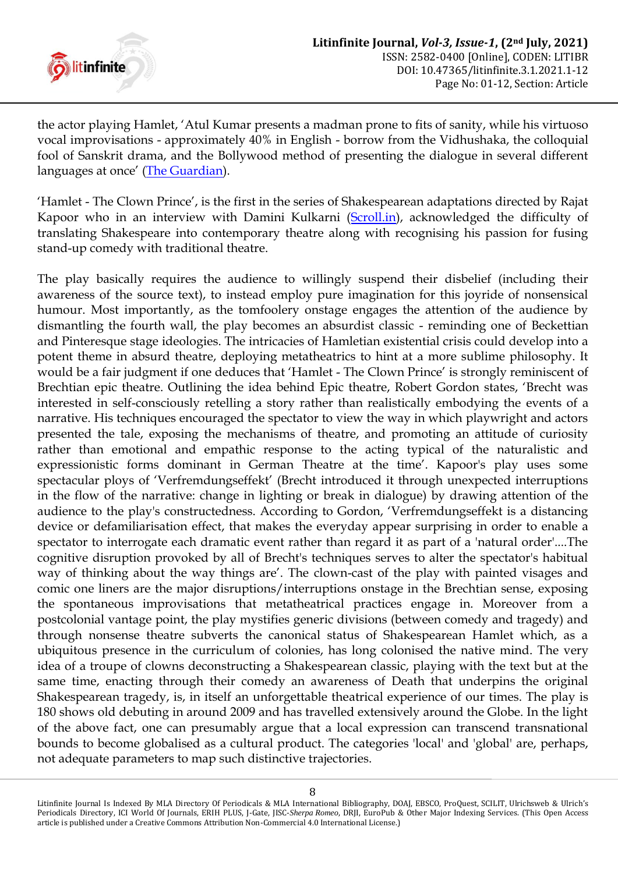

the actor playing Hamlet, "Atul Kumar presents a madman prone to fits of sanity, while his virtuoso vocal improvisations - approximately 40% in English - borrow from the Vidhushaka, the colloquial fool of Sanskrit drama, and the Bollywood method of presenting the dialogue in several different languages at once' [\(The Guardian\)](#page-10-8).

'Hamlet - The Clown Prince', is the first in the series of Shakespearean adaptations directed by Rajat Kapoor who in an interview with Damini Kulkarni [\(Scroll.in\)](#page-10-9), acknowledged the difficulty of translating Shakespeare into contemporary theatre along with recognising his passion for fusing stand-up comedy with traditional theatre.

The play basically requires the audience to willingly suspend their disbelief (including their awareness of the source text), to instead employ pure imagination for this joyride of nonsensical humour. Most importantly, as the tomfoolery onstage engages the attention of the audience by dismantling the fourth wall, the play becomes an absurdist classic - reminding one of Beckettian and Pinteresque stage ideologies. The intricacies of Hamletian existential crisis could develop into a potent theme in absurd theatre, deploying metatheatrics to hint at a more sublime philosophy. It would be a fair judgment if one deduces that 'Hamlet - The Clown Prince' is strongly reminiscent of Brechtian epic theatre. Outlining the idea behind Epic theatre, Robert Gordon states, "Brecht was interested in self-consciously retelling a story rather than realistically embodying the events of a narrative. His techniques encouraged the spectator to view the way in which playwright and actors presented the tale, exposing the mechanisms of theatre, and promoting an attitude of curiosity rather than emotional and empathic response to the acting typical of the naturalistic and expressionistic forms dominant in German Theatre at the time'. Kapoor's play uses some spectacular ploys of "Verfremdungseffekt" (Brecht introduced it through unexpected interruptions in the flow of the narrative: change in lighting or break in dialogue) by drawing attention of the audience to the play's constructedness. According to Gordon, "Verfremdungseffekt is a distancing device or defamiliarisation effect, that makes the everyday appear surprising in order to enable a spectator to interrogate each dramatic event rather than regard it as part of a 'natural order'....The cognitive disruption provoked by all of Brecht's techniques serves to alter the spectator's habitual way of thinking about the way things are'. The clown-cast of the play with painted visages and comic one liners are the major disruptions/interruptions onstage in the Brechtian sense, exposing the spontaneous improvisations that metatheatrical practices engage in. Moreover from a postcolonial vantage point, the play mystifies generic divisions (between comedy and tragedy) and through nonsense theatre subverts the canonical status of Shakespearean Hamlet which, as a ubiquitous presence in the curriculum of colonies, has long colonised the native mind. The very idea of a troupe of clowns deconstructing a Shakespearean classic, playing with the text but at the same time, enacting through their comedy an awareness of Death that underpins the original Shakespearean tragedy, is, in itself an unforgettable theatrical experience of our times. The play is 180 shows old debuting in around 2009 and has travelled extensively around the Globe. In the light of the above fact, one can presumably argue that a local expression can transcend transnational bounds to become globalised as a cultural product. The categories 'local' and 'global' are, perhaps, not adequate parameters to map such distinctive trajectories.

Litinfinite Journal Is Indexed By MLA Directory Of Periodicals & MLA International Bibliography, DOAJ, EBSCO, ProQuest, SCILIT, Ulrichsweb & Ulrich's Periodicals Directory, ICI World Of Journals, ERIH PLUS, J-Gate, JISC-*Sherpa Romeo*, DRJI, EuroPub & Other Major Indexing Services. (This Open Access article is published under a Creative Commons Attribution Non-Commercial 4.0 International License.)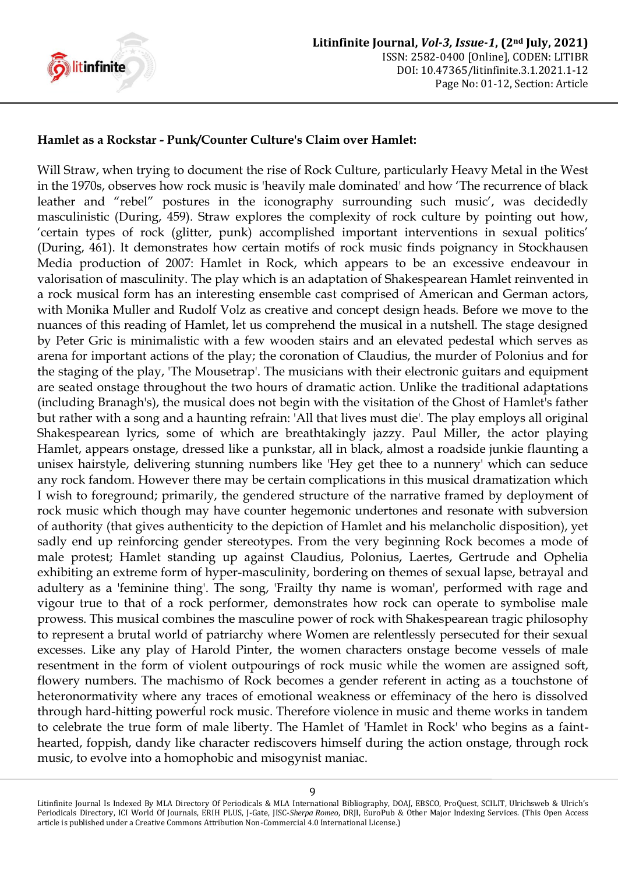

### **Hamlet as a Rockstar - Punk/Counter Culture's Claim over Hamlet:**

Will Straw, when trying to document the rise of Rock Culture, particularly Heavy Metal in the West in the 1970s, observes how rock music is 'heavily male dominated' and how "The recurrence of black leather and "rebel" postures in the iconography surrounding such music', was decidedly masculinistic (During, 459). Straw explores the complexity of rock culture by pointing out how, "certain types of rock (glitter, punk) accomplished important interventions in sexual politics" (During, 461). It demonstrates how certain motifs of rock music finds poignancy in Stockhausen Media production of 2007: Hamlet in Rock, which appears to be an excessive endeavour in valorisation of masculinity. The play which is an adaptation of Shakespearean Hamlet reinvented in a rock musical form has an interesting ensemble cast comprised of American and German actors, with Monika Muller and Rudolf Volz as creative and concept design heads. Before we move to the nuances of this reading of Hamlet, let us comprehend the musical in a nutshell. The stage designed by Peter Gric is minimalistic with a few wooden stairs and an elevated pedestal which serves as arena for important actions of the play; the coronation of Claudius, the murder of Polonius and for the staging of the play, 'The Mousetrap'. The musicians with their electronic guitars and equipment are seated onstage throughout the two hours of dramatic action. Unlike the traditional adaptations (including Branagh's), the musical does not begin with the visitation of the Ghost of Hamlet's father but rather with a song and a haunting refrain: 'All that lives must die'. The play employs all original Shakespearean lyrics, some of which are breathtakingly jazzy. Paul Miller, the actor playing Hamlet, appears onstage, dressed like a punkstar, all in black, almost a roadside junkie flaunting a unisex hairstyle, delivering stunning numbers like 'Hey get thee to a nunnery' which can seduce any rock fandom. However there may be certain complications in this musical dramatization which I wish to foreground; primarily, the gendered structure of the narrative framed by deployment of rock music which though may have counter hegemonic undertones and resonate with subversion of authority (that gives authenticity to the depiction of Hamlet and his melancholic disposition), yet sadly end up reinforcing gender stereotypes. From the very beginning Rock becomes a mode of male protest; Hamlet standing up against Claudius, Polonius, Laertes, Gertrude and Ophelia exhibiting an extreme form of hyper-masculinity, bordering on themes of sexual lapse, betrayal and adultery as a 'feminine thing'. The song, 'Frailty thy name is woman', performed with rage and vigour true to that of a rock performer, demonstrates how rock can operate to symbolise male prowess. This musical combines the masculine power of rock with Shakespearean tragic philosophy to represent a brutal world of patriarchy where Women are relentlessly persecuted for their sexual excesses. Like any play of Harold Pinter, the women characters onstage become vessels of male resentment in the form of violent outpourings of rock music while the women are assigned soft, flowery numbers. The machismo of Rock becomes a gender referent in acting as a touchstone of heteronormativity where any traces of emotional weakness or effeminacy of the hero is dissolved through hard-hitting powerful rock music. Therefore violence in music and theme works in tandem to celebrate the true form of male liberty. The Hamlet of 'Hamlet in Rock' who begins as a fainthearted, foppish, dandy like character rediscovers himself during the action onstage, through rock music, to evolve into a homophobic and misogynist maniac.

Litinfinite Journal Is Indexed By MLA Directory Of Periodicals & MLA International Bibliography, DOAJ, EBSCO, ProQuest, SCILIT, Ulrichsweb & Ulrich's Periodicals Directory, ICI World Of Journals, ERIH PLUS, J-Gate, JISC-*Sherpa Romeo*, DRJI, EuroPub & Other Major Indexing Services. (This Open Access article is published under a Creative Commons Attribution Non-Commercial 4.0 International License.)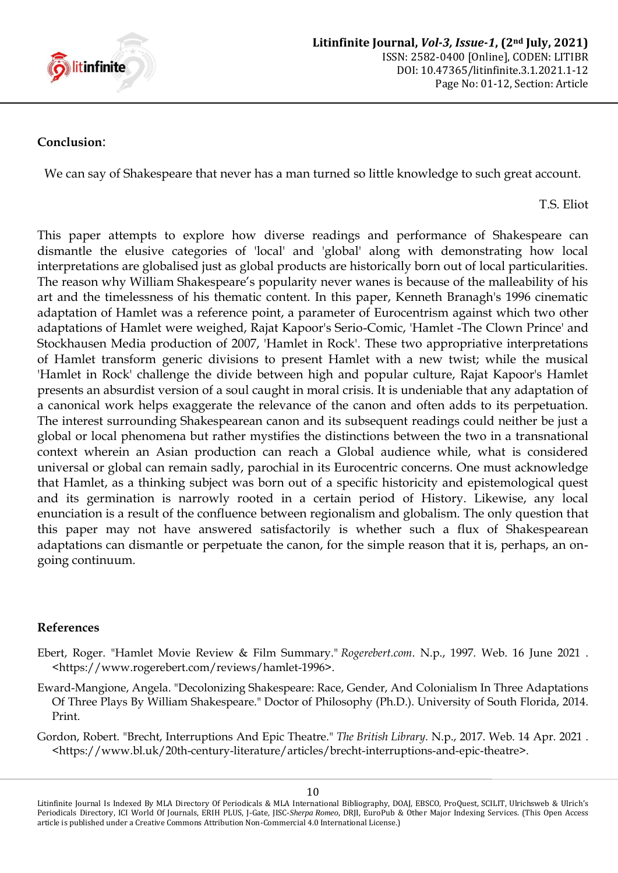

#### **Conclusion**:

We can say of Shakespeare that never has a man turned so little knowledge to such great account.

T.S. Eliot

This paper attempts to explore how diverse readings and performance of Shakespeare can dismantle the elusive categories of 'local' and 'global' along with demonstrating how local interpretations are globalised just as global products are historically born out of local particularities. The reason why William Shakespeare's popularity never wanes is because of the malleability of his art and the timelessness of his thematic content. In this paper, Kenneth Branagh's 1996 cinematic adaptation of Hamlet was a reference point, a parameter of Eurocentrism against which two other adaptations of Hamlet were weighed, Rajat Kapoor's Serio-Comic, 'Hamlet -The Clown Prince' and Stockhausen Media production of 2007, 'Hamlet in Rock'. These two appropriative interpretations of Hamlet transform generic divisions to present Hamlet with a new twist; while the musical 'Hamlet in Rock' challenge the divide between high and popular culture, Rajat Kapoor's Hamlet presents an absurdist version of a soul caught in moral crisis. It is undeniable that any adaptation of a canonical work helps exaggerate the relevance of the canon and often adds to its perpetuation. The interest surrounding Shakespearean canon and its subsequent readings could neither be just a global or local phenomena but rather mystifies the distinctions between the two in a transnational context wherein an Asian production can reach a Global audience while, what is considered universal or global can remain sadly, parochial in its Eurocentric concerns. One must acknowledge that Hamlet, as a thinking subject was born out of a specific historicity and epistemological quest and its germination is narrowly rooted in a certain period of History. Likewise, any local enunciation is a result of the confluence between regionalism and globalism. The only question that this paper may not have answered satisfactorily is whether such a flux of Shakespearean adaptations can dismantle or perpetuate the canon, for the simple reason that it is, perhaps, an ongoing continuum.

#### **References**

- <span id="page-9-1"></span>Ebert, Roger. "Hamlet Movie Review & Film Summary." *Rogerebert.com*. N.p., 1997. Web. 16 June 2021 . <https://www.rogerebert.com/reviews/hamlet-1996>.
- <span id="page-9-0"></span>Eward-Mangione, Angela. "Decolonizing Shakespeare: Race, Gender, And Colonialism In Three Adaptations Of Three Plays By William Shakespeare." Doctor of Philosophy (Ph.D.). University of South Florida, 2014. Print.
- Gordon, Robert. "Brecht, Interruptions And Epic Theatre." *The British Library*. N.p., 2017. Web. 14 Apr. 2021 . <https://www.bl.uk/20th-century-literature/articles/brecht-interruptions-and-epic-theatre>.

Litinfinite Journal Is Indexed By MLA Directory Of Periodicals & MLA International Bibliography, DOAJ, EBSCO, ProQuest, SCILIT, Ulrichsweb & Ulrich's Periodicals Directory, ICI World Of Journals, ERIH PLUS, J-Gate, JISC-*Sherpa Romeo*, DRJI, EuroPub & Other Major Indexing Services. (This Open Access article is published under a Creative Commons Attribution Non-Commercial 4.0 International License.)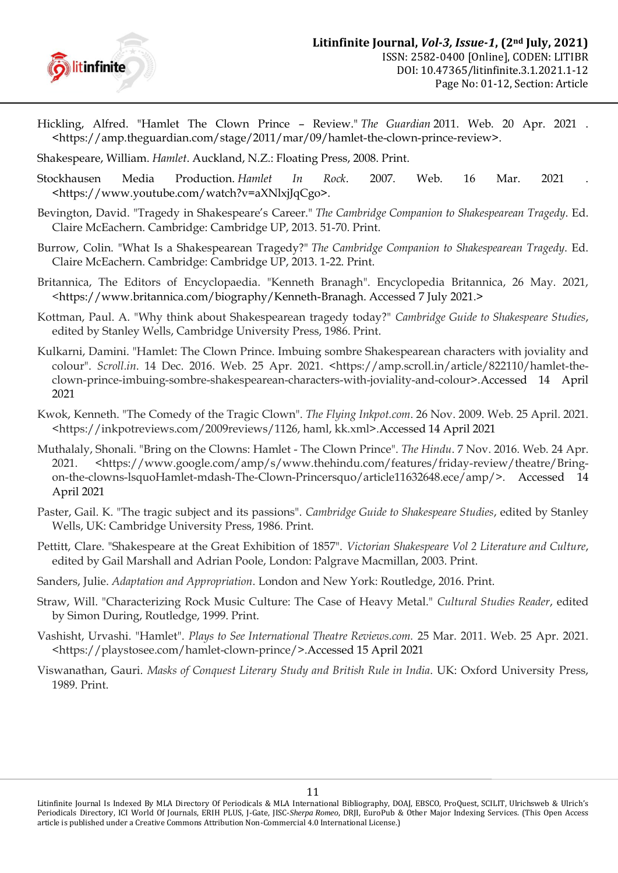

- <span id="page-10-8"></span>Hickling, Alfred. "Hamlet The Clown Prince – Review." *The Guardian* 2011. Web. 20 Apr. 2021 . <https://amp.theguardian.com/stage/2011/mar/09/hamlet-the-clown-prince-review>.
- <span id="page-10-4"></span>Shakespeare, William. *Hamlet*. Auckland, N.Z.: Floating Press, 2008. Print.
- Stockhausen Media Production. *Hamlet In Rock*. 2007. Web. 16 Mar. 2021 . <https://www.youtube.com/watch?v=aXNlxjJqCgo>.
- <span id="page-10-5"></span>Bevington, David. "Tragedy in Shakespeare"s Career." *The Cambridge Companion to Shakespearean Tragedy*. Ed. Claire McEachern. Cambridge: Cambridge UP, 2013. 51-70. Print.
- Burrow, Colin. "What Is a Shakespearean Tragedy?" *The Cambridge Companion to Shakespearean Tragedy*. Ed. Claire McEachern. Cambridge: Cambridge UP, 2013. 1-22. Print.
- Britannica, The Editors of Encyclopaedia. "Kenneth Branagh". Encyclopedia Britannica, 26 May. 2021, [<https://www.britannica.com/biography/Kenneth-Branagh. Accessed 7 July 2021.](https://www.britannica.com/biography/Kenneth-Branagh.%20Accessed%207%20July%202021)>
- <span id="page-10-1"></span>Kottman, Paul. A. "Why think about Shakespearean tragedy today?" *Cambridge Guide to Shakespeare Studies*, edited by Stanley Wells, Cambridge University Press, 1986. Print.
- <span id="page-10-9"></span>Kulkarni, Damini. "Hamlet: The Clown Prince. Imbuing sombre Shakespearean characters with joviality and colour". *Scroll.in*. 14 Dec. 2016. Web. 25 Apr. 2021. <https://amp.scroll.in/article/822110/hamlet-theclown-prince-imbuing-sombre-shakespearean-characters-with-joviality-and-colour>.Accessed 14 April 2021
- <span id="page-10-6"></span>Kwok, Kenneth. "The Comedy of the Tragic Clown". *The Flying Inkpot.com*. 26 Nov. 2009. Web. 25 April. 2021. <https://inkpotreviews.com/2009reviews/1126, haml, kk.xml>.Accessed 14 April 2021
- <span id="page-10-7"></span>Muthalaly, Shonali. "Bring on the Clowns: Hamlet - The Clown Prince". *The Hindu*. 7 Nov. 2016. Web. 24 Apr. 2021. <https://www.google.com/amp/s/www.thehindu.com/features/friday-review/theatre/Bringon-the-clowns-lsquoHamlet-mdash-The-Clown-Princersquo/article11632648.ece/amp/>. Accessed 14 April 2021
- Paster, Gail. K. "The tragic subject and its passions". *Cambridge Guide to Shakespeare Studies*, edited by Stanley Wells, UK: Cambridge University Press, 1986. Print.
- <span id="page-10-0"></span>Pettitt, Clare. "Shakespeare at the Great Exhibition of 1857". *Victorian Shakespeare Vol 2 Literature and Culture*, edited by Gail Marshall and Adrian Poole, London: Palgrave Macmillan, 2003. Print.
- <span id="page-10-3"></span>Sanders, Julie. *Adaptation and Appropriation*. London and New York: Routledge, 2016. Print.
- Straw, Will. "Characterizing Rock Music Culture: The Case of Heavy Metal." *Cultural Studies Reader*, edited by Simon During, Routledge, 1999. Print.
- Vashisht, Urvashi. "Hamlet". *Plays to See International Theatre Reviews.com.* 25 Mar. 2011. Web. 25 Apr. 2021. <https://playstosee.com/hamlet-clown-prince/>.Accessed 15 April 2021
- <span id="page-10-2"></span>Viswanathan, Gauri. *Masks of Conquest Literary Study and British Rule in India*. UK: Oxford University Press, 1989. Print.